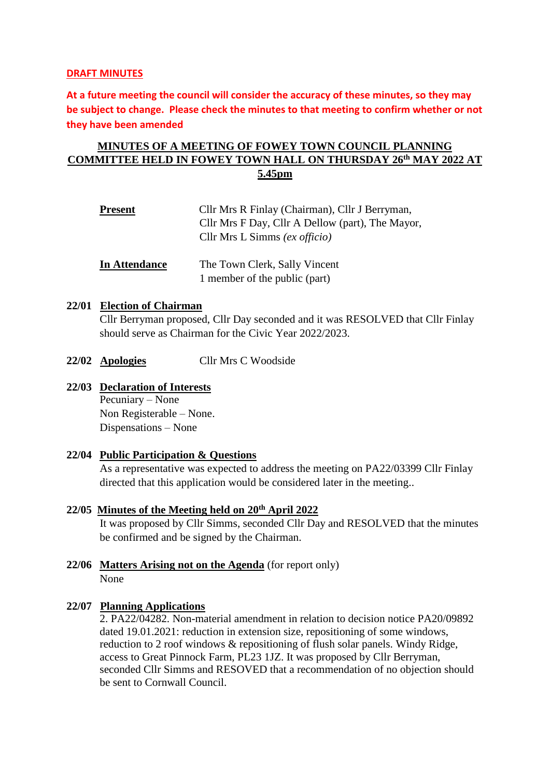### **DRAFT MINUTES**

**At a future meeting the council will consider the accuracy of these minutes, so they may be subject to change. Please check the minutes to that meeting to confirm whether or not they have been amended**

# **MINUTES OF A MEETING OF FOWEY TOWN COUNCIL PLANNING COMMITTEE HELD IN FOWEY TOWN HALL ON THURSDAY 26 th MAY 2022 AT 5.45pm**

| <b>Present</b> | Cllr Mrs R Finlay (Chairman), Cllr J Berryman,<br>Cllr Mrs F Day, Cllr A Dellow (part), The Mayor,<br>Cllr Mrs L Simms (ex officio) |
|----------------|-------------------------------------------------------------------------------------------------------------------------------------|
| In Attendance  | The Town Clerk, Sally Vincent<br>1 member of the public (part)                                                                      |

# **22/01 Election of Chairman**

Cllr Berryman proposed, Cllr Day seconded and it was RESOLVED that Cllr Finlay should serve as Chairman for the Civic Year 2022/2023.

- **22/02 Apologies** Cllr Mrs C Woodside
- **22/03 Declaration of Interests** Pecuniary – None Non Registerable – None. Dispensations – None

#### **22/04 Public Participation & Questions**

As a representative was expected to address the meeting on PA22/03399 Cllr Finlay directed that this application would be considered later in the meeting..

- **22/05 Minutes of the Meeting held on 20th April 2022** It was proposed by Cllr Simms, seconded Cllr Day and RESOLVED that the minutes be confirmed and be signed by the Chairman.
- **22/06 Matters Arising not on the Agenda** (for report only) None

## **22/07 Planning Applications**

2. PA22/04282. [Non-material amendment in relation to decision notice PA20/09892](https://planning.cornwall.gov.uk/online-applications/applicationDetails.do?activeTab=summary&keyVal=RBEWCBFGHSE00&prevPage=inTray)  dated [19.01.2021: reduction in extension size, repositioning of some windows,](https://planning.cornwall.gov.uk/online-applications/applicationDetails.do?activeTab=summary&keyVal=RBEWCBFGHSE00&prevPage=inTray)  [reduction to 2 roof windows & repositioning of flush solar panels.](https://planning.cornwall.gov.uk/online-applications/applicationDetails.do?activeTab=summary&keyVal=RBEWCBFGHSE00&prevPage=inTray) Windy Ridge, access to Great Pinnock Farm, PL23 1JZ. It was proposed by Cllr Berryman, seconded Cllr Simms and RESOVED that a recommendation of no objection should be sent to Cornwall Council.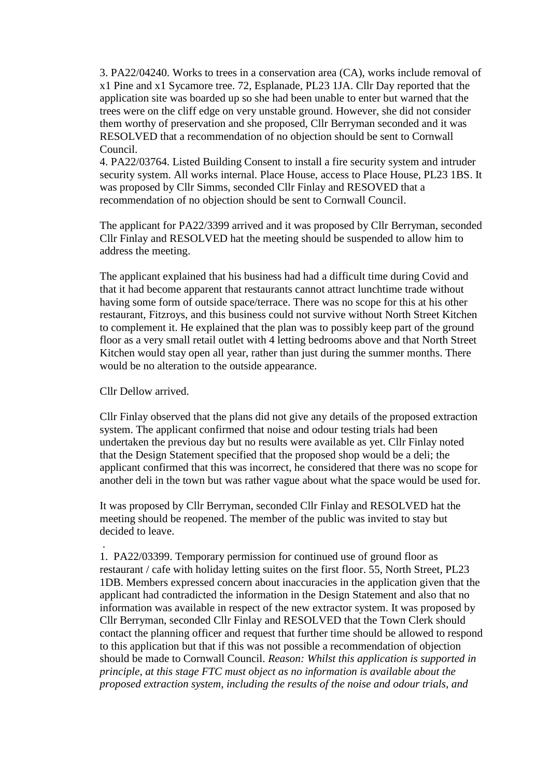3. PA22/04240. [Works to trees in a conservation area \(CA\), works include removal of](https://planning.cornwall.gov.uk/online-applications/applicationDetails.do?activeTab=summary&keyVal=RBCZ78FG1W400&prevPage=inTray)  [x1 Pine and x1 Sycamore tree.](https://planning.cornwall.gov.uk/online-applications/applicationDetails.do?activeTab=summary&keyVal=RBCZ78FG1W400&prevPage=inTray) 72, Esplanade, PL23 1JA. Cllr Day reported that the application site was boarded up so she had been unable to enter but warned that the trees were on the cliff edge on very unstable ground. However, she did not consider them worthy of preservation and she proposed, Cllr Berryman seconded and it was RESOLVED that a recommendation of no objection should be sent to Cornwall Council.

4. PA22/03764. [Listed Building Consent to install a fire security system and intruder](https://planning.cornwall.gov.uk/online-applications/applicationDetails.do?activeTab=summary&keyVal=RAL1AAFGLWW00&prevPage=inTray)  [security system. All works internal.](https://planning.cornwall.gov.uk/online-applications/applicationDetails.do?activeTab=summary&keyVal=RAL1AAFGLWW00&prevPage=inTray) Place House, access to Place House, PL23 1BS. It was proposed by Cllr Simms, seconded Cllr Finlay and RESOVED that a recommendation of no objection should be sent to Cornwall Council.

The applicant for PA22/3399 arrived and it was proposed by Cllr Berryman, seconded Cllr Finlay and RESOLVED hat the meeting should be suspended to allow him to address the meeting.

The applicant explained that his business had had a difficult time during Covid and that it had become apparent that restaurants cannot attract lunchtime trade without having some form of outside space/terrace. There was no scope for this at his other restaurant, Fitzroys, and this business could not survive without North Street Kitchen to complement it. He explained that the plan was to possibly keep part of the ground floor as a very small retail outlet with 4 letting bedrooms above and that North Street Kitchen would stay open all year, rather than just during the summer months. There would be no alteration to the outside appearance.

Cllr Dellow arrived.

Cllr Finlay observed that the plans did not give any details of the proposed extraction system. The applicant confirmed that noise and odour testing trials had been undertaken the previous day but no results were available as yet. Cllr Finlay noted that the Design Statement specified that the proposed shop would be a deli; the applicant confirmed that this was incorrect, he considered that there was no scope for another deli in the town but was rather vague about what the space would be used for.

It was proposed by Cllr Berryman, seconded Cllr Finlay and RESOLVED hat the meeting should be reopened. The member of the public was invited to stay but decided to leave.

. 1. PA22/03399. [Temporary permission for continued use of ground floor as](https://planning.cornwall.gov.uk/online-applications/applicationDetails.do?activeTab=summary&keyVal=R9X1ESFGMNR00&prevPage=inTray)  [restaurant / cafe with holiday letting suites on the first floor.](https://planning.cornwall.gov.uk/online-applications/applicationDetails.do?activeTab=summary&keyVal=R9X1ESFGMNR00&prevPage=inTray) 55, North Street, PL23 1DB. Members expressed concern about inaccuracies in the application given that the applicant had contradicted the information in the Design Statement and also that no information was available in respect of the new extractor system. It was proposed by Cllr Berryman, seconded Cllr Finlay and RESOLVED that the Town Clerk should contact the planning officer and request that further time should be allowed to respond to this application but that if this was not possible a recommendation of objection should be made to Cornwall Council. *Reason: Whilst this application is supported in principle, at this stage FTC must object as no information is available about the proposed extraction system, including the results of the noise and odour trials, and*